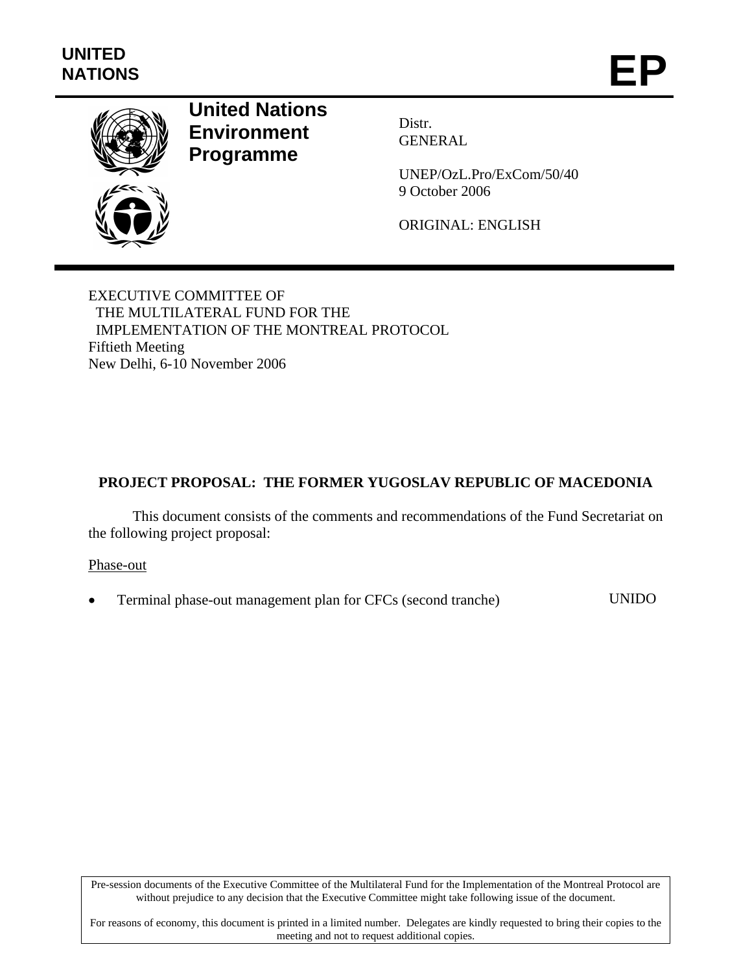

# **United Nations Environment Programme**

Distr. GENERAL

UNEP/OzL.Pro/ExCom/50/40 9 October 2006

ORIGINAL: ENGLISH

EXECUTIVE COMMITTEE OF THE MULTILATERAL FUND FOR THE IMPLEMENTATION OF THE MONTREAL PROTOCOL Fiftieth Meeting New Delhi, 6-10 November 2006

## **PROJECT PROPOSAL: THE FORMER YUGOSLAV REPUBLIC OF MACEDONIA**

This document consists of the comments and recommendations of the Fund Secretariat on the following project proposal:

Phase-out

• Terminal phase-out management plan for CFCs (second tranche) UNIDO

Pre-session documents of the Executive Committee of the Multilateral Fund for the Implementation of the Montreal Protocol are without prejudice to any decision that the Executive Committee might take following issue of the document.

For reasons of economy, this document is printed in a limited number. Delegates are kindly requested to bring their copies to the meeting and not to request additional copies.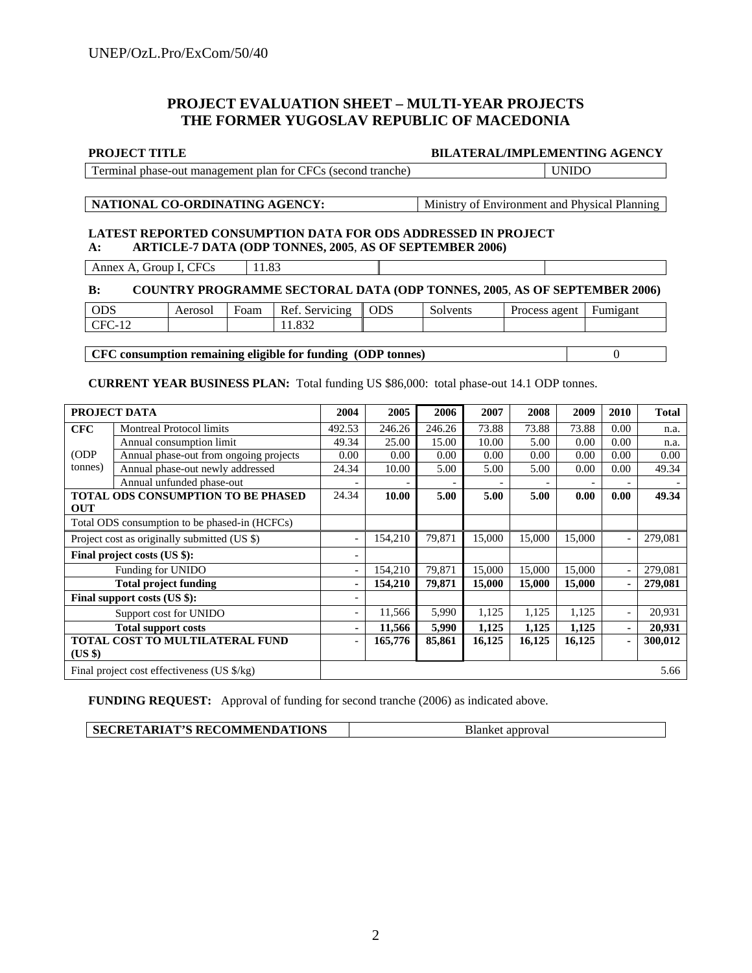## **PROJECT EVALUATION SHEET – MULTI-YEAR PROJECTS THE FORMER YUGOSLAV REPUBLIC OF MACEDONIA**

#### **PROJECT TITLE BILATERAL/IMPLEMENTING AGENCY**

| $\mathbf{r}$<br>` ⊢≀<br>tranche<br>tor<br>nhase.<br>managemen<br>nian<br>' sect<br>топс.<br>-0111<br>$ -$ |
|-----------------------------------------------------------------------------------------------------------|
|-----------------------------------------------------------------------------------------------------------|

### **NATIONAL CO-ORDINATING AGENCY:** Ministry of Environment and Physical Planning

#### **LATEST REPORTED CONSUMPTION DATA FOR ODS ADDRESSED IN PROJECT A: ARTICLE-7 DATA (ODP TONNES, 2005**, **AS OF SEPTEMBER 2006)**

Annex A, Group I, CFCs  $|11.83\rangle$ 

#### **B: COUNTRY PROGRAMME SECTORAL DATA (ODP TONNES, 2005**, **AS OF SEPTEMBER 2006)**

| <b>ODS</b> | Aerosol | -<br>Foam | Ref.<br>Servicing | <b>ODS</b> | Solvents | agent<br><b>Process</b> | Fumigant |
|------------|---------|-----------|-------------------|------------|----------|-------------------------|----------|
| $-1$       |         |           | oon               |            |          |                         |          |
|            |         |           |                   |            |          |                         |          |

#### **CFC consumption remaining eligible for funding (ODP tonnes)** 0

**CURRENT YEAR BUSINESS PLAN:** Total funding US \$86,000: total phase-out 14.1 ODP tonnes.

| PROJECT DATA                                      |                                        | 2004   | 2005    | 2006   | 2007   | 2008   | 2009   | 2010 | <b>Total</b> |
|---------------------------------------------------|----------------------------------------|--------|---------|--------|--------|--------|--------|------|--------------|
| <b>CFC</b>                                        | <b>Montreal Protocol limits</b>        | 492.53 | 246.26  | 246.26 | 73.88  | 73.88  | 73.88  | 0.00 | n.a.         |
|                                                   | Annual consumption limit               |        | 25.00   | 15.00  | 10.00  | 5.00   | 0.00   | 0.00 | n.a.         |
| (ODP)                                             | Annual phase-out from ongoing projects | 0.00   | 0.00    | 0.00   | 0.00   | 0.00   | 0.00   | 0.00 | 0.00         |
| tonnes)                                           | Annual phase-out newly addressed       | 24.34  | 10.00   | 5.00   | 5.00   | 5.00   | 0.00   | 0.00 | 49.34        |
|                                                   | Annual unfunded phase-out              |        |         |        |        |        |        |      |              |
| <b>TOTAL ODS CONSUMPTION TO BE PHASED</b>         |                                        | 24.34  | 10.00   | 5.00   | 5.00   | 5.00   | 0.00   | 0.00 | 49.34        |
| <b>OUT</b>                                        |                                        |        |         |        |        |        |        |      |              |
| Total ODS consumption to be phased-in (HCFCs)     |                                        |        |         |        |        |        |        |      |              |
| Project cost as originally submitted (US \$)      |                                        |        | 154,210 | 79,871 | 15,000 | 15,000 | 15,000 |      | 279,081      |
| Final project costs (US \$):                      |                                        |        |         |        |        |        |        |      |              |
| Funding for UNIDO                                 |                                        |        | 154,210 | 79,871 | 15,000 | 15,000 | 15,000 |      | 279,081      |
| <b>Total project funding</b>                      |                                        | ٠      | 154,210 | 79,871 | 15,000 | 15,000 | 15,000 |      | 279,081      |
| Final support costs (US \$):                      |                                        |        |         |        |        |        |        |      |              |
|                                                   | Support cost for UNIDO                 |        | 11,566  | 5,990  | 1,125  | 1,125  | 1,125  |      | 20,931       |
| <b>Total support costs</b>                        |                                        |        | 11,566  | 5,990  | 1,125  | 1,125  | 1,125  | ۰.   | 20,931       |
| <b>TOTAL COST TO MULTILATERAL FUND</b><br>(US \$) |                                        |        | 165,776 | 85,861 | 16,125 | 16,125 | 16,125 |      | 300,012      |
| Final project cost effectiveness (US \$/kg)       |                                        |        |         |        |        |        |        |      | 5.66         |

**FUNDING REQUEST:** Approval of funding for second tranche (2006) as indicated above.

| SECRETARIAT'S RECOMMENDATIONS | <b>Blanket</b> approval |
|-------------------------------|-------------------------|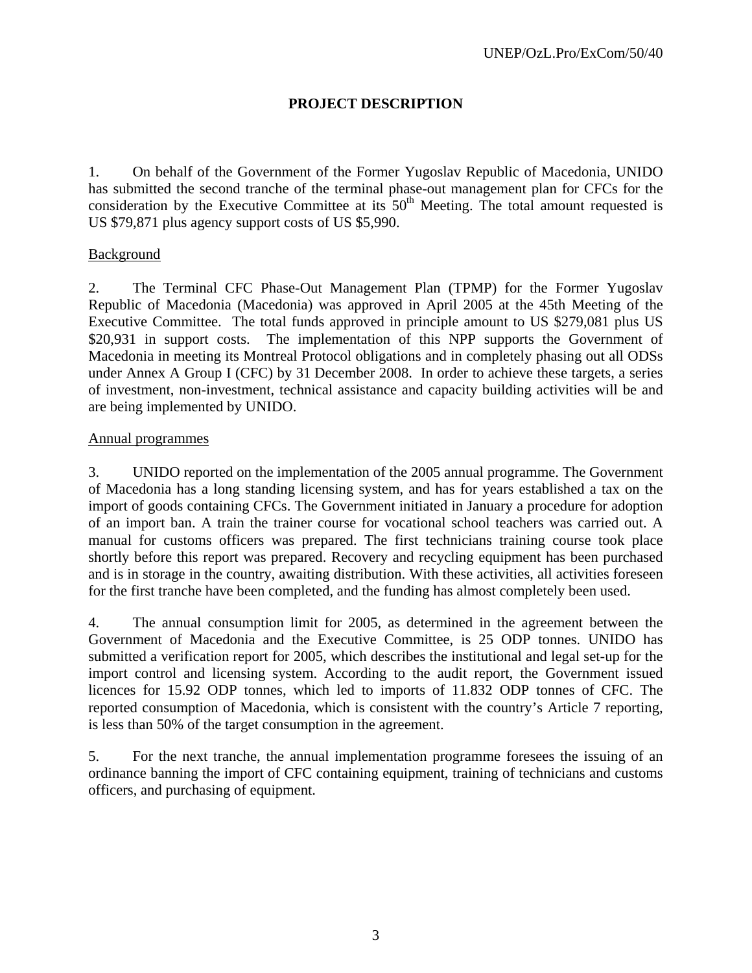## **PROJECT DESCRIPTION**

1. On behalf of the Government of the Former Yugoslav Republic of Macedonia, UNIDO has submitted the second tranche of the terminal phase-out management plan for CFCs for the consideration by the Executive Committee at its  $50<sup>th</sup>$  Meeting. The total amount requested is US \$79,871 plus agency support costs of US \$5,990.

## Background

2. The Terminal CFC Phase-Out Management Plan (TPMP) for the Former Yugoslav Republic of Macedonia (Macedonia) was approved in April 2005 at the 45th Meeting of the Executive Committee. The total funds approved in principle amount to US \$279,081 plus US \$20,931 in support costs. The implementation of this NPP supports the Government of Macedonia in meeting its Montreal Protocol obligations and in completely phasing out all ODSs under Annex A Group I (CFC) by 31 December 2008. In order to achieve these targets, a series of investment, non-investment, technical assistance and capacity building activities will be and are being implemented by UNIDO.

## Annual programmes

3. UNIDO reported on the implementation of the 2005 annual programme. The Government of Macedonia has a long standing licensing system, and has for years established a tax on the import of goods containing CFCs. The Government initiated in January a procedure for adoption of an import ban. A train the trainer course for vocational school teachers was carried out. A manual for customs officers was prepared. The first technicians training course took place shortly before this report was prepared. Recovery and recycling equipment has been purchased and is in storage in the country, awaiting distribution. With these activities, all activities foreseen for the first tranche have been completed, and the funding has almost completely been used.

4. The annual consumption limit for 2005, as determined in the agreement between the Government of Macedonia and the Executive Committee, is 25 ODP tonnes. UNIDO has submitted a verification report for 2005, which describes the institutional and legal set-up for the import control and licensing system. According to the audit report, the Government issued licences for 15.92 ODP tonnes, which led to imports of 11.832 ODP tonnes of CFC. The reported consumption of Macedonia, which is consistent with the country's Article 7 reporting, is less than 50% of the target consumption in the agreement.

5. For the next tranche, the annual implementation programme foresees the issuing of an ordinance banning the import of CFC containing equipment, training of technicians and customs officers, and purchasing of equipment.